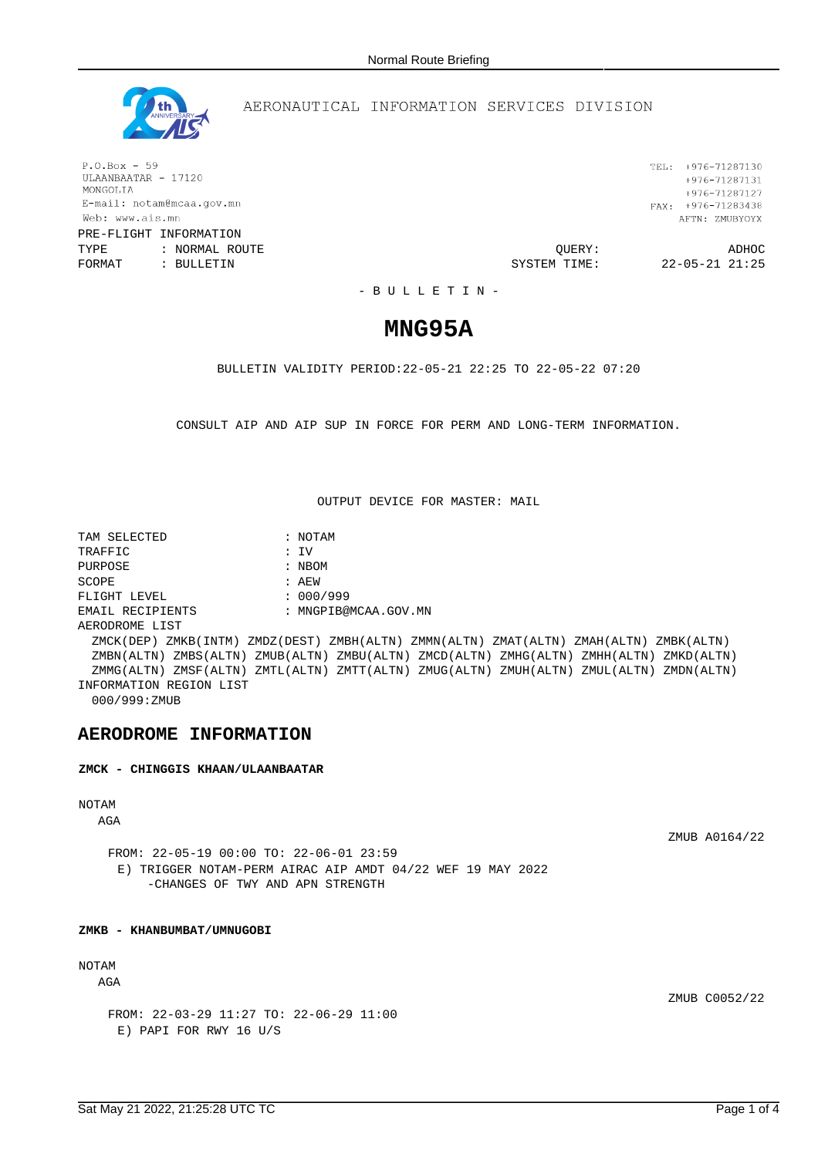

## AERONAUTICAL INFORMATION SERVICES DIVISION

 $P.O.Box - 59$ ULAANBAATAR - 17120 MONGOLIA E-mail: notam@mcaa.gov.mn Web: www.ais.mn PRE-FLIGHT INFORMATION

TYPE : NORMAL ROUTE QUERY: ADHOC FORMAT : BULLETIN **FORMAT** : BULLETIN **SYSTEM** TIME: 22-05-21 21:25

TEL: +976-71287130  $+976 - 71287131$ +976-71287127 FAX:  $+976-71283438$ AFTN: ZMUBYOYX

- B U L L E T I N -

# **MNG95A**

BULLETIN VALIDITY PERIOD:22-05-21 22:25 TO 22-05-22 07:20

CONSULT AIP AND AIP SUP IN FORCE FOR PERM AND LONG-TERM INFORMATION.

OUTPUT DEVICE FOR MASTER: MAIL

TAM SELECTED : NOTAM TRAFFIC : IV PURPOSE : NBOM SCOPE : AEW FLIGHT LEVEL : 000/999 EMAIL RECIPIENTS : MNGPIB@MCAA.GOV.MN AERODROME LIST ZMCK(DEP) ZMKB(INTM) ZMDZ(DEST) ZMBH(ALTN) ZMMN(ALTN) ZMAT(ALTN) ZMAH(ALTN) ZMBK(ALTN) ZMBN(ALTN) ZMBS(ALTN) ZMUB(ALTN) ZMBU(ALTN) ZMCD(ALTN) ZMHG(ALTN) ZMHH(ALTN) ZMKD(ALTN) ZMMG(ALTN) ZMSF(ALTN) ZMTL(ALTN) ZMTT(ALTN) ZMUG(ALTN) ZMUH(ALTN) ZMUL(ALTN) ZMDN(ALTN) INFORMATION REGION LIST 000/999:ZMUB

## **AERODROME INFORMATION**

**ZMCK - CHINGGIS KHAAN/ULAANBAATAR**

## NOTAM

AGA

ZMUB A0164/22

FROM: 22-05-19 00:00 TO: 22-06-01 23:59 E) TRIGGER NOTAM-PERM AIRAC AIP AMDT 04/22 WEF 19 MAY 2022 -CHANGES OF TWY AND APN STRENGTH

#### **ZMKB - KHANBUMBAT/UMNUGOBI**

## NOTAM

AGA

ZMUB C0052/22

FROM: 22-03-29 11:27 TO: 22-06-29 11:00 E) PAPI FOR RWY 16 U/S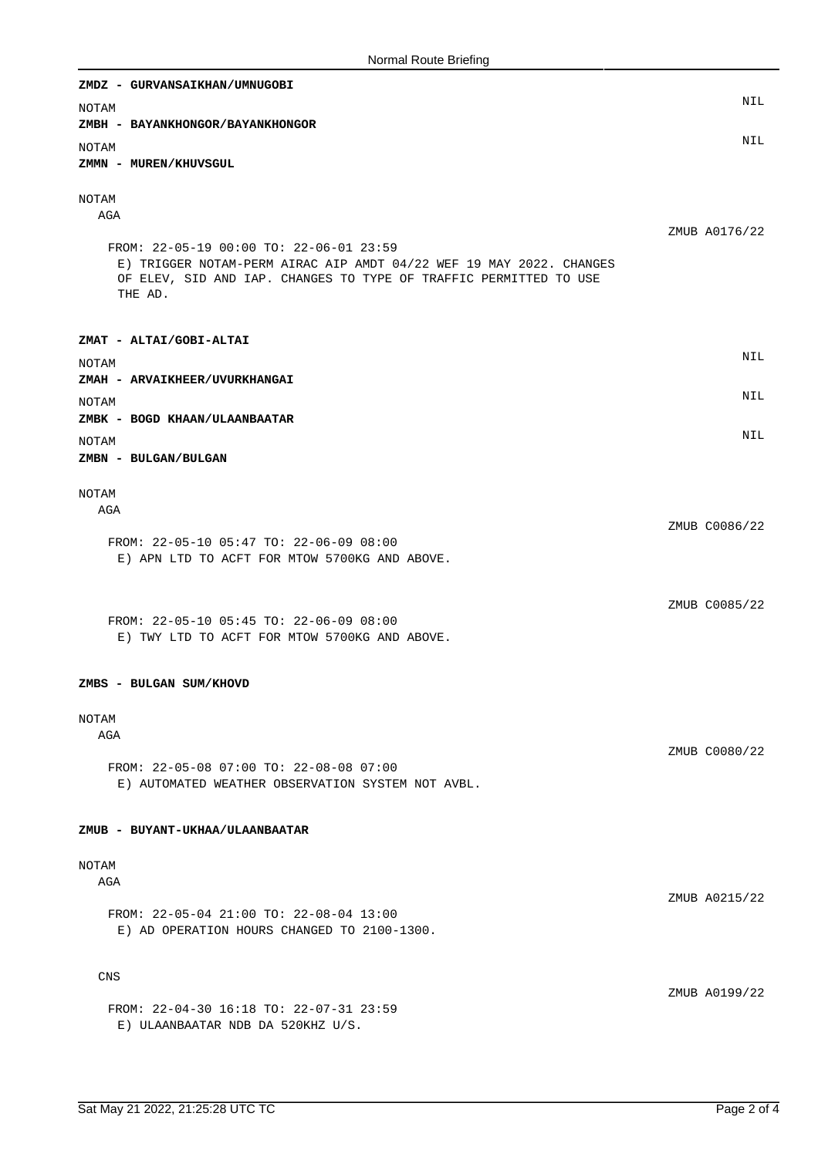| ZMDZ - GURVANSAIKHAN/UMNUGOBI                                                                                  |               |
|----------------------------------------------------------------------------------------------------------------|---------------|
| NOTAM                                                                                                          | NIL           |
| ZMBH - BAYANKHONGOR/BAYANKHONGOR                                                                               |               |
| <b>NOTAM</b>                                                                                                   | <b>NIL</b>    |
| ZMMN - MUREN/KHUVSGUL                                                                                          |               |
| NOTAM                                                                                                          |               |
| AGA                                                                                                            |               |
|                                                                                                                | ZMUB A0176/22 |
| FROM: 22-05-19 00:00 TO: 22-06-01 23:59<br>E) TRIGGER NOTAM-PERM AIRAC AIP AMDT 04/22 WEF 19 MAY 2022. CHANGES |               |
| OF ELEV, SID AND IAP. CHANGES TO TYPE OF TRAFFIC PERMITTED TO USE                                              |               |
| THE AD.                                                                                                        |               |
|                                                                                                                |               |
| ZMAT - ALTAI/GOBI-ALTAI                                                                                        |               |
| NOTAM                                                                                                          | NIL           |
| ZMAH - ARVAIKHEER/UVURKHANGAI                                                                                  | NIL           |
| NOTAM                                                                                                          |               |
| ZMBK - BOGD KHAAN/ULAANBAATAR                                                                                  | NIL           |
| NOTAM<br>ZMBN - BULGAN/BULGAN                                                                                  |               |
|                                                                                                                |               |
| NOTAM                                                                                                          |               |
| AGA                                                                                                            |               |
| FROM: 22-05-10 05:47 TO: 22-06-09 08:00                                                                        | ZMUB C0086/22 |
| E) APN LTD TO ACFT FOR MTOW 5700KG AND ABOVE.                                                                  |               |
|                                                                                                                |               |
|                                                                                                                | ZMUB C0085/22 |
| FROM: 22-05-10 05:45 TO: 22-06-09 08:00                                                                        |               |
| E) TWY LTD TO ACFT FOR MTOW 5700KG AND ABOVE.                                                                  |               |
|                                                                                                                |               |
| ZMBS - BULGAN SUM/KHOVD                                                                                        |               |
| NOTAM                                                                                                          |               |
| AGA                                                                                                            |               |
|                                                                                                                | ZMUB C0080/22 |
| FROM: 22-05-08 07:00 TO: 22-08-08 07:00<br>E) AUTOMATED WEATHER OBSERVATION SYSTEM NOT AVBL.                   |               |
|                                                                                                                |               |
|                                                                                                                |               |
| ZMUB - BUYANT-UKHAA/ULAANBAATAR                                                                                |               |
| NOTAM                                                                                                          |               |
| AGA                                                                                                            |               |
| FROM: 22-05-04 21:00 TO: 22-08-04 13:00                                                                        | ZMUB A0215/22 |
| E) AD OPERATION HOURS CHANGED TO 2100-1300.                                                                    |               |
|                                                                                                                |               |
| CNS                                                                                                            |               |
|                                                                                                                | ZMUB A0199/22 |
| FROM: 22-04-30 16:18 TO: 22-07-31 23:59                                                                        |               |
| E) ULAANBAATAR NDB DA 520KHZ U/S.                                                                              |               |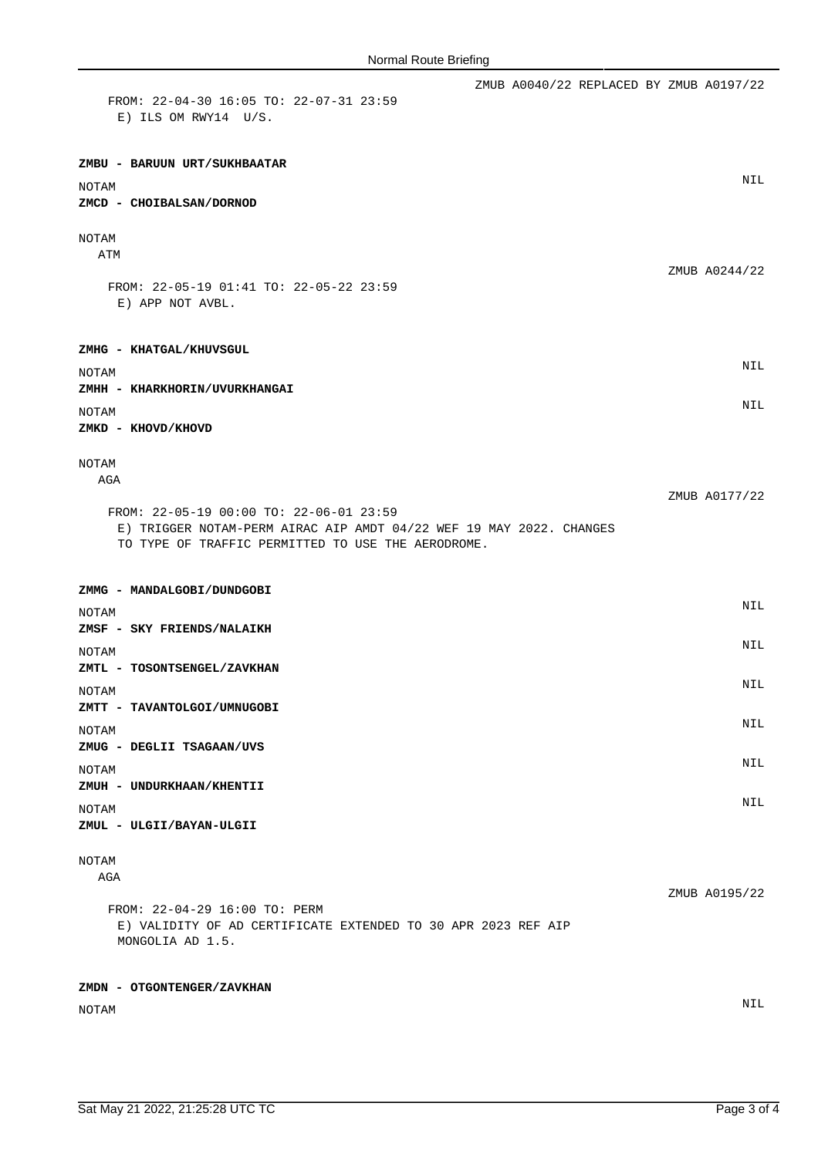| FROM: 22-04-30 16:05 TO: 22-07-31 23:59<br>$E)$ ILS OM RWY14 U/S.                                                         |  | ZMUB A0040/22 REPLACED BY ZMUB A0197/22 |               |
|---------------------------------------------------------------------------------------------------------------------------|--|-----------------------------------------|---------------|
| ZMBU - BARUUN URT/SUKHBAATAR                                                                                              |  |                                         |               |
| NOTAM<br>ZMCD - CHOIBALSAN/DORNOD                                                                                         |  |                                         | <b>NIL</b>    |
| NOTAM<br>ATM                                                                                                              |  |                                         | ZMUB A0244/22 |
| FROM: 22-05-19 01:41 TO: 22-05-22 23:59<br>E) APP NOT AVBL.                                                               |  |                                         |               |
| ZMHG - KHATGAL/KHUVSGUL                                                                                                   |  |                                         | NIL           |
| <b>NOTAM</b><br>ZMHH - KHARKHORIN/UVURKHANGAI                                                                             |  |                                         |               |
| NOTAM<br>ZMKD - KHOVD/KHOVD                                                                                               |  |                                         | <b>NIL</b>    |
| NOTAM<br>AGA<br>FROM: 22-05-19 00:00 TO: 22-06-01 23:59                                                                   |  |                                         | ZMUB A0177/22 |
| E) TRIGGER NOTAM-PERM AIRAC AIP AMDT 04/22 WEF 19 MAY 2022. CHANGES<br>TO TYPE OF TRAFFIC PERMITTED TO USE THE AERODROME. |  |                                         |               |
| ZMMG - MANDALGOBI/DUNDGOBI                                                                                                |  |                                         | NIL           |
| NOTAM<br>ZMSF - SKY FRIENDS/NALAIKH                                                                                       |  |                                         |               |
| NOTAM<br>ZMTL - TOSONTSENGEL/ZAVKHAN                                                                                      |  |                                         | NIL           |
| NOTAM                                                                                                                     |  |                                         | NIL           |
| ZMTT - TAVANTOLGOI/UMNUGOBI<br>NOTAM                                                                                      |  |                                         | NIL           |
| ZMUG - DEGLII TSAGAAN/UVS                                                                                                 |  |                                         |               |
| NOTAM<br>ZMUH - UNDURKHAAN/KHENTII                                                                                        |  |                                         | NIL           |
| NOTAM<br>ZMUL - ULGII/BAYAN-ULGII                                                                                         |  |                                         | NIL           |
| NOTAM<br>AGA                                                                                                              |  |                                         |               |
| FROM: 22-04-29 16:00 TO: PERM<br>E) VALIDITY OF AD CERTIFICATE EXTENDED TO 30 APR 2023 REF AIP<br>MONGOLIA AD 1.5.        |  |                                         | ZMUB A0195/22 |
| ZMDN - OTGONTENGER/ZAVKHAN                                                                                                |  |                                         |               |
| NOTAM                                                                                                                     |  |                                         | NIL           |